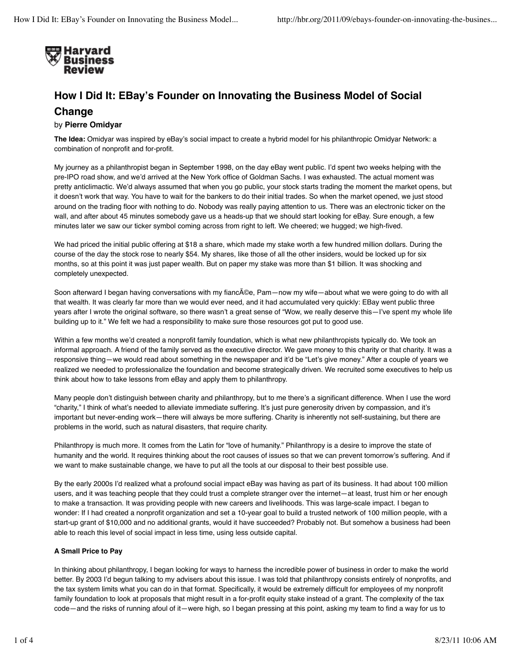

# **How I Did It: EBay's Founder on Innovating the Business Model of Social Change**

## by **Pierre Omidyar**

**The Idea:** Omidyar was inspired by eBay's social impact to create a hybrid model for his philanthropic Omidyar Network: a combination of nonprofit and for-profit.

My journey as a philanthropist began in September 1998, on the day eBay went public. I'd spent two weeks helping with the pre-IPO road show, and we'd arrived at the New York office of Goldman Sachs. I was exhausted. The actual moment was pretty anticlimactic. We'd always assumed that when you go public, your stock starts trading the moment the market opens, but it doesn't work that way. You have to wait for the bankers to do their initial trades. So when the market opened, we just stood around on the trading floor with nothing to do. Nobody was really paying attention to us. There was an electronic ticker on the wall, and after about 45 minutes somebody gave us a heads-up that we should start looking for eBay. Sure enough, a few minutes later we saw our ticker symbol coming across from right to left. We cheered; we hugged; we high-fived.

We had priced the initial public offering at \$18 a share, which made my stake worth a few hundred million dollars. During the course of the day the stock rose to nearly \$54. My shares, like those of all the other insiders, would be locked up for six months, so at this point it was just paper wealth. But on paper my stake was more than \$1 billion. It was shocking and completely unexpected.

Soon afterward I began having conversations with my fianc©e, Pam—now my wife—about what we were going to do with all that wealth. It was clearly far more than we would ever need, and it had accumulated very quickly: EBay went public three years after I wrote the original software, so there wasn't a great sense of "Wow, we really deserve this—I've spent my whole life building up to it." We felt we had a responsibility to make sure those resources got put to good use.

Within a few months we'd created a nonprofit family foundation, which is what new philanthropists typically do. We took an informal approach. A friend of the family served as the executive director. We gave money to this charity or that charity. It was a responsive thing—we would read about something in the newspaper and it'd be "Let's give money." After a couple of years we realized we needed to professionalize the foundation and become strategically driven. We recruited some executives to help us think about how to take lessons from eBay and apply them to philanthropy.

Many people don't distinguish between charity and philanthropy, but to me there's a significant difference. When I use the word "charity," I think of what's needed to alleviate immediate suffering. It's just pure generosity driven by compassion, and it's important but never-ending work—there will always be more suffering. Charity is inherently not self-sustaining, but there are problems in the world, such as natural disasters, that require charity.

Philanthropy is much more. It comes from the Latin for "love of humanity." Philanthropy is a desire to improve the state of humanity and the world. It requires thinking about the root causes of issues so that we can prevent tomorrow's suffering. And if we want to make sustainable change, we have to put all the tools at our disposal to their best possible use.

By the early 2000s I'd realized what a profound social impact eBay was having as part of its business. It had about 100 million users, and it was teaching people that they could trust a complete stranger over the internet—at least, trust him or her enough to make a transaction. It was providing people with new careers and livelihoods. This was large-scale impact. I began to wonder: If I had created a nonprofit organization and set a 10-year goal to build a trusted network of 100 million people, with a start-up grant of \$10,000 and no additional grants, would it have succeeded? Probably not. But somehow a business had been able to reach this level of social impact in less time, using less outside capital.

## **A Small Price to Pay**

In thinking about philanthropy, I began looking for ways to harness the incredible power of business in order to make the world better. By 2003 I'd begun talking to my advisers about this issue. I was told that philanthropy consists entirely of nonprofits, and the tax system limits what you can do in that format. Specifically, it would be extremely difficult for employees of my nonprofit family foundation to look at proposals that might result in a for-profit equity stake instead of a grant. The complexity of the tax code—and the risks of running afoul of it—were high, so I began pressing at this point, asking my team to find a way for us to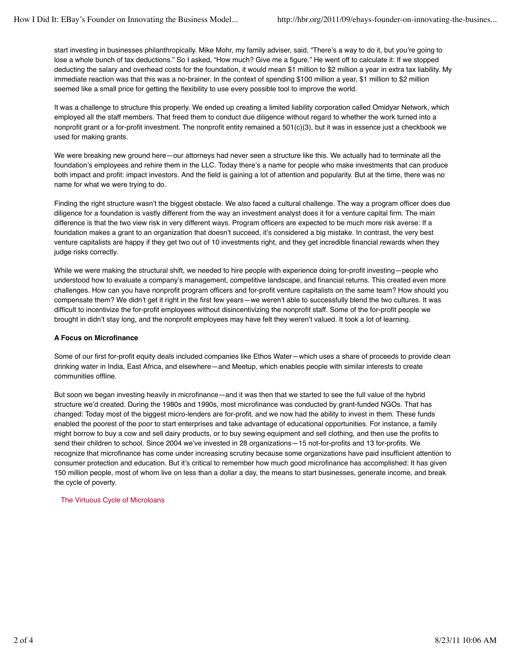start investing in businesses philanthropically. Mike Mohr, my family adviser, said, "There's a way to do it, but you're going to lose a whole bunch of tax deductions." So I asked, "How much? Give me a figure." He went off to calculate it: If we stopped deducting the salary and overhead costs for the foundation, it would mean \$1 million to \$2 million a year in extra tax liability. My immediate reaction was that this was a no-brainer. In the context of spending \$100 million a year, \$1 million to \$2 million seemed like a small price for getting the flexibility to use every possible tool to improve the world.

It was a challenge to structure this properly. We ended up creating a limited liability corporation called Omidyar Network, which employed all the staff members. That freed them to conduct due diligence without regard to whether the work turned into a nonprofit grant or a for-profit investment. The nonprofit entity remained a 501(c)(3), but it was in essence just a checkbook we used for making grants.

We were breaking new ground here—our attorneys had never seen a structure like this. We actually had to terminate all the foundation's employees and rehire them in the LLC. Today there's a name for people who make investments that can produce both impact and profit: impact investors. And the field is gaining a lot of attention and popularity. But at the time, there was no name for what we were trying to do.

Finding the right structure wasn't the biggest obstacle. We also faced a cultural challenge. The way a program officer does due diligence for a foundation is vastly different from the way an investment analyst does it for a venture capital firm. The main difference is that the two view risk in very different ways. Program officers are expected to be much more risk averse: If a foundation makes a grant to an organization that doesn't succeed, it's considered a big mistake. In contrast, the very best venture capitalists are happy if they get two out of 10 investments right, and they get incredible financial rewards when they judge risks correctly.

While we were making the structural shift, we needed to hire people with experience doing for-profit investing—people who understood how to evaluate a company's management, competitive landscape, and financial returns. This created even more challenges. How can you have nonprofit program officers and for-profit venture capitalists on the same team? How should you compensate them? We didn't get it right in the first few years—we weren't able to successfully blend the two cultures. It was difficult to incentivize the for-profit employees without disincentivizing the nonprofit staff. Some of the for-profit people we brought in didn't stay long, and the nonprofit employees may have felt they weren't valued. It took a lot of learning.

### **A Focus on Microfinance**

Some of our first for-profit equity deals included companies like Ethos Water—which uses a share of proceeds to provide clean drinking water in India, East Africa, and elsewhere—and Meetup, which enables people with similar interests to create communities offline.

But soon we began investing heavily in microfinance—and it was then that we started to see the full value of the hybrid structure we'd created. During the 1980s and 1990s, most microfinance was conducted by grant-funded NGOs. That has changed: Today most of the biggest micro-lenders are for-profit, and we now had the ability to invest in them. These funds enabled the poorest of the poor to start enterprises and take advantage of educational opportunities. For instance, a family might borrow to buy a cow and sell dairy products, or to buy sewing equipment and sell clothing, and then use the profits to send their children to school. Since 2004 we've invested in 28 organizations—15 not-for-profits and 13 for-profits. We recognize that microfinance has come under increasing scrutiny because some organizations have paid insufficient attention to consumer protection and education. But it's critical to remember how much good microfinance has accomplished: It has given 150 million people, most of whom live on less than a dollar a day, the means to start businesses, generate income, and break the cycle of poverty.

The Virtuous Cycle of Microloans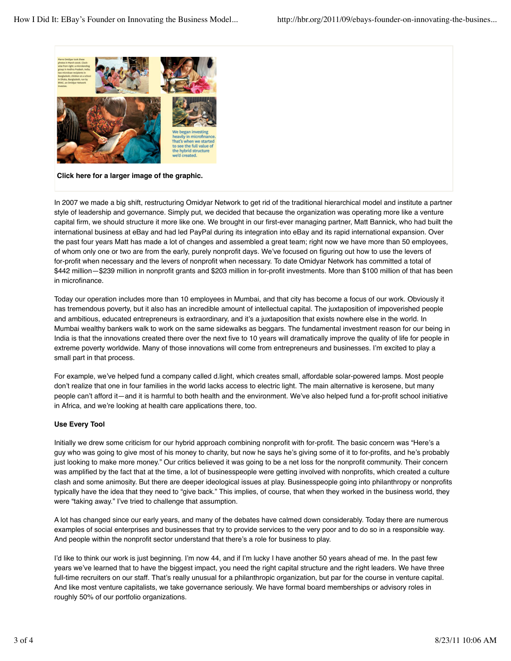

**Click here for a larger image of the graphic.**

In 2007 we made a big shift, restructuring Omidyar Network to get rid of the traditional hierarchical model and institute a partner style of leadership and governance. Simply put, we decided that because the organization was operating more like a venture capital firm, we should structure it more like one. We brought in our first-ever managing partner, Matt Bannick, who had built the international business at eBay and had led PayPal during its integration into eBay and its rapid international expansion. Over the past four years Matt has made a lot of changes and assembled a great team; right now we have more than 50 employees, of whom only one or two are from the early, purely nonprofit days. We've focused on figuring out how to use the levers of for-profit when necessary and the levers of nonprofit when necessary. To date Omidyar Network has committed a total of \$442 million—\$239 million in nonprofit grants and \$203 million in for-profit investments. More than \$100 million of that has been in microfinance.

Today our operation includes more than 10 employees in Mumbai, and that city has become a focus of our work. Obviously it has tremendous poverty, but it also has an incredible amount of intellectual capital. The juxtaposition of impoverished people and ambitious, educated entrepreneurs is extraordinary, and it's a juxtaposition that exists nowhere else in the world. In Mumbai wealthy bankers walk to work on the same sidewalks as beggars. The fundamental investment reason for our being in India is that the innovations created there over the next five to 10 years will dramatically improve the quality of life for people in extreme poverty worldwide. Many of those innovations will come from entrepreneurs and businesses. I'm excited to play a small part in that process.

For example, we've helped fund a company called d.light, which creates small, affordable solar-powered lamps. Most people don't realize that one in four families in the world lacks access to electric light. The main alternative is kerosene, but many people can't afford it—and it is harmful to both health and the environment. We've also helped fund a for-profit school initiative in Africa, and we're looking at health care applications there, too.

### **Use Every Tool**

Initially we drew some criticism for our hybrid approach combining nonprofit with for-profit. The basic concern was "Here's a guy who was going to give most of his money to charity, but now he says he's giving some of it to for-profits, and he's probably just looking to make more money." Our critics believed it was going to be a net loss for the nonprofit community. Their concern was amplified by the fact that at the time, a lot of businesspeople were getting involved with nonprofits, which created a culture clash and some animosity. But there are deeper ideological issues at play. Businesspeople going into philanthropy or nonprofits typically have the idea that they need to "give back." This implies, of course, that when they worked in the business world, they were "taking away." I've tried to challenge that assumption.

A lot has changed since our early years, and many of the debates have calmed down considerably. Today there are numerous examples of social enterprises and businesses that try to provide services to the very poor and to do so in a responsible way. And people within the nonprofit sector understand that there's a role for business to play.

I'd like to think our work is just beginning. I'm now 44, and if I'm lucky I have another 50 years ahead of me. In the past few years we've learned that to have the biggest impact, you need the right capital structure and the right leaders. We have three full-time recruiters on our staff. That's really unusual for a philanthropic organization, but par for the course in venture capital. And like most venture capitalists, we take governance seriously. We have formal board memberships or advisory roles in roughly 50% of our portfolio organizations.